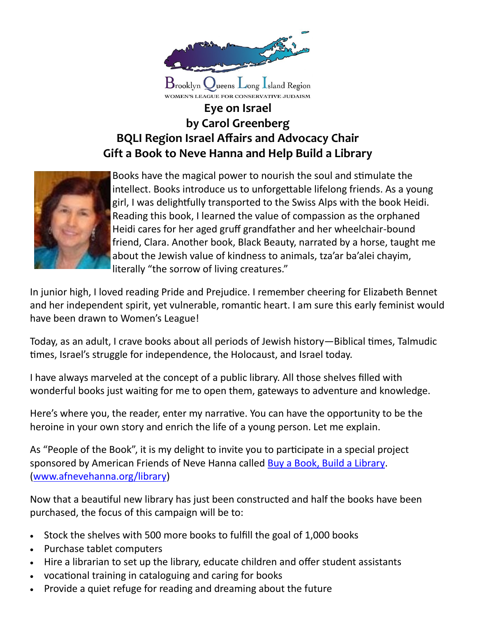

## **Eye on Israel by Carol Greenberg BQLI Region Israel Affairs and Advocacy Chair Gift a Book to Neve Hanna and Help Build a Library**

WOMEN'S LEAGUE FOR CONSERVATIVE JUDAISM



Books have the magical power to nourish the soul and stimulate the intellect. Books introduce us to unforgettable lifelong friends. As a young girl, I was delightfully transported to the Swiss Alps with the book Heidi. Reading this book, I learned the value of compassion as the orphaned Heidi cares for her aged gruff grandfather and her wheelchair-bound friend, Clara. Another book, Black Beauty, narrated by a horse, taught me about the Jewish value of kindness to animals, tza'ar ba'alei chayim, literally "the sorrow of living creatures."

In junior high, I loved reading Pride and Prejudice. I remember cheering for Elizabeth Bennet and her independent spirit, yet vulnerable, romantic heart. I am sure this early feminist would have been drawn to Women's League!

Today, as an adult, I crave books about all periods of Jewish history—Biblical times, Talmudic times, Israel's struggle for independence, the Holocaust, and Israel today.

I have always marveled at the concept of a public library. All those shelves filled with wonderful books just waiting for me to open them, gateways to adventure and knowledge.

Here's where you, the reader, enter my narrative. You can have the opportunity to be the heroine in your own story and enrich the life of a young person. Let me explain.

As "People of the Book", it is my delight to invite you to participate in a special project sponsored by American Friends of Neve Hanna called Buy a Book, Build a Library. ([www.afnevehanna.org/library\)](http://www.afnevehanna.org/library)

Now that a beautiful new library has just been constructed and half the books have been purchased, the focus of this campaign will be to:

- Stock the shelves with 500 more books to fulfill the goal of 1,000 books
- Purchase tablet computers
- Hire a librarian to set up the library, educate children and offer student assistants
- vocational training in cataloguing and caring for books
- Provide a quiet refuge for reading and dreaming about the future